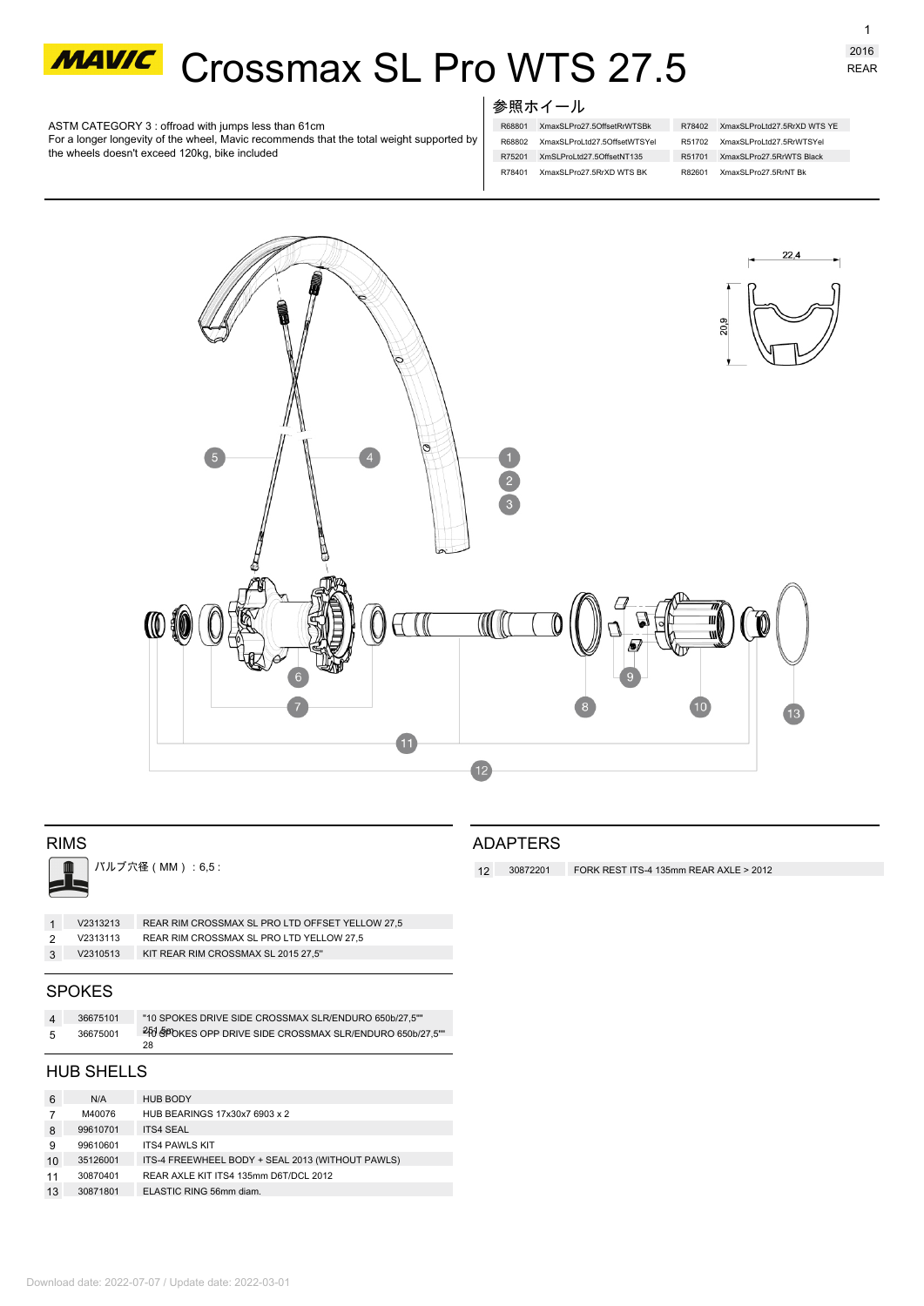

# **MAWC** Crossmax SL Pro WTS 27.5

ASTM CATEGORY 3 : offroad with jumps less than 61cm

For a longer longevity of the wheel, Mavic recommends that the total weight supported by the wheels doesn't exceed 120kg, bike included

# 参照ホイール

- R68801 XmaxSLPro27.5OffsetRrWTSBk R78402 XmaxSLProLtd27.5RrXD WTS YE R68802 XmaxSLProLtd27.5OffsetWTSYel R75201 XmSLProLtd27.5OffsetNT135 R51701 XmaxSLPro27.5RrWTS Black R78401 XmaxSLPro27.5RrXD WTS BK
- R51702 XmaxSLProLtd27.5RrWTSYel R82601 XmaxSLPro27.5RrNT Bk



# RIMS

バルブ穴径(MM):6,5 :

|     | V2313213 | REAR RIM CROSSMAX SL PRO LTD OFFSET YELLOW 27,5 |
|-----|----------|-------------------------------------------------|
|     | V2313113 | REAR RIM CROSSMAX SL PRO LTD YELLOW 27.5        |
| - 3 | V2310513 | KIT REAR RIM CROSSMAX SL 2015 27,5"             |
|     |          |                                                 |

### SPOKES

| $\mathbf{A}$ | 36675101 | "10 SPOKES DRIVE SIDE CROSSMAX SLR/ENDURO 650b/27.5""                 |
|--------------|----------|-----------------------------------------------------------------------|
| -5           | 36675001 | <sup>2</sup> FO SPOKES OPP DRIVE SIDE CROSSMAX SLR/ENDURO 650b/27,5"" |
|              |          | 28                                                                    |

# HUB SHELLS

| 6  | N/A      | <b>HUB BODY</b>                                  |
|----|----------|--------------------------------------------------|
|    | M40076   | HUB BEARINGS 17x30x7 6903 x 2                    |
| 8  | 99610701 | <b>ITS4 SEAL</b>                                 |
| 9  | 99610601 | <b>ITS4 PAWLS KIT</b>                            |
| 10 | 35126001 | ITS-4 FREEWHEEL BODY + SEAL 2013 (WITHOUT PAWLS) |
| 11 | 30870401 | REAR AXLE KIT ITS4 135mm D6T/DCL 2012            |
| 13 | 30871801 | ELASTIC RING 56mm diam.                          |

# ADAPTERS

**12 30872201** FORK REST ITS-4 135mm REAR AXLE > 2012